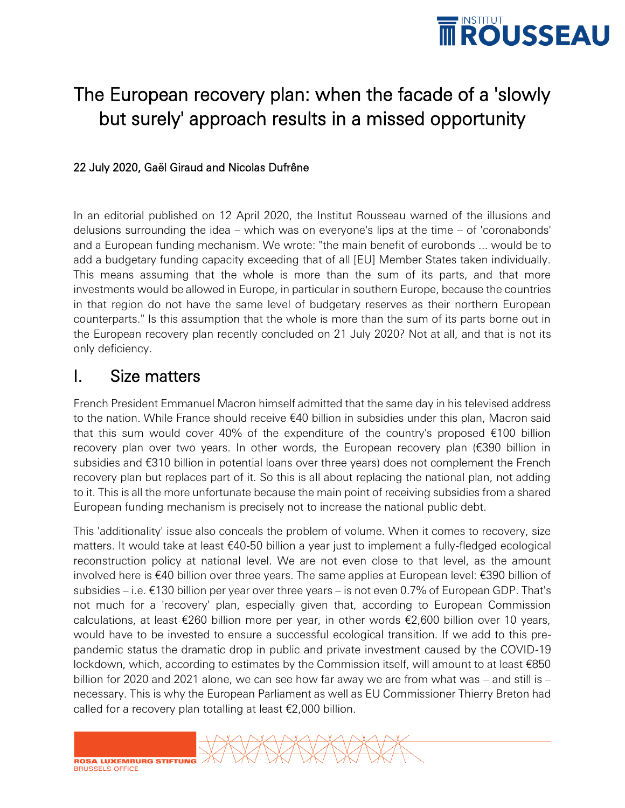

# The European recovery plan: when the facade of a 'slowly but surely' approach results in a missed opportunity

#### 22 July 2020, Gaël Giraud and Nicolas Dufrêne

In an editorial published on 12 April 2020, the Institut Rousseau warned of the illusions and delusions surrounding the idea – which was on everyone's lips at the time – of 'coronabonds' and a European funding mechanism. We wrote: "the main benefit of eurobonds ... would be to add a budgetary funding capacity exceeding that of all [EU] Member States taken individually. This means assuming that the whole is more than the sum of its parts, and that more investments would be allowed in Europe, in particular in southern Europe, because the countries in that region do not have the same level of budgetary reserves as their northern European counterparts." Is this assumption that the whole is more than the sum of its parts borne out in the European recovery plan recently concluded on 21 July 2020? Not at all, and that is not its only deficiency.

#### I. Size matters

French President Emmanuel Macron himself admitted that the same day in his televised address to the nation. While France should receive €40 billion in subsidies under this plan, Macron said that this sum would cover 40% of the expenditure of the country's proposed  $\epsilon$ 100 billion recovery plan over two years. In other words, the European recovery plan (€390 billion in subsidies and €310 billion in potential loans over three years) does not complement the French recovery plan but replaces part of it. So this is all about replacing the national plan, not adding to it. This is all the more unfortunate because the main point of receiving subsidies from a shared European funding mechanism is precisely not to increase the national public debt.

This 'additionality' issue also conceals the problem of volume. When it comes to recovery, size matters. It would take at least €40-50 billion a year just to implement a fully-fledged ecological reconstruction policy at national level. We are not even close to that level, as the amount involved here is €40 billion over three years. The same applies at European level: €390 billion of subsidies – i.e. €130 billion per year over three years – is not even 0.7% of European GDP. That's not much for a 'recovery' plan, especially given that, according to European Commission calculations, at least  $\epsilon$ 260 billion more per year, in other words  $\epsilon$ 2,600 billion over 10 years, would have to be invested to ensure a successful ecological transition. If we add to this prepandemic status the dramatic drop in public and private investment caused by the COVID-19 lockdown, which, according to estimates by the Commission itself, will amount to at least  $\epsilon$ 850 billion for 2020 and 2021 alone, we can see how far away we are from what was – and still is – necessary. This is why the European Parliament as well as EU Commissioner Thierry Breton had called for a recovery plan totalling at least  $\epsilon$ 2,000 billion.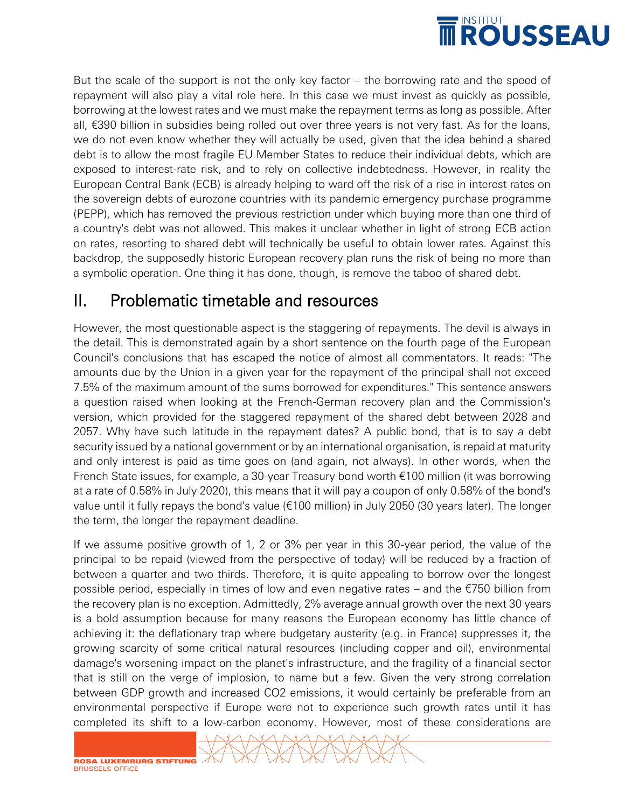

But the scale of the support is not the only key factor – the borrowing rate and the speed of repayment will also play a vital role here. In this case we must invest as quickly as possible, borrowing at the lowest rates and we must make the repayment terms as long as possible. After all, €390 billion in subsidies being rolled out over three years is not very fast. As for the loans, we do not even know whether they will actually be used, given that the idea behind a shared debt is to allow the most fragile EU Member States to reduce their individual debts, which are exposed to interest-rate risk, and to rely on collective indebtedness. However, in reality the European Central Bank (ECB) is already helping to ward off the risk of a rise in interest rates on the sovereign debts of eurozone countries with its pandemic emergency purchase programme (PEPP), which has removed the previous restriction under which buying more than one third of a country's debt was not allowed. This makes it unclear whether in light of strong ECB action on rates, resorting to shared debt will technically be useful to obtain lower rates. Against this backdrop, the supposedly historic European recovery plan runs the risk of being no more than a symbolic operation. One thing it has done, though, is remove the taboo of shared debt.

## II. Problematic timetable and resources

However, the most questionable aspect is the staggering of repayments. The devil is always in the detail. This is demonstrated again by a short sentence on the fourth page of the European Council's conclusions that has escaped the notice of almost all commentators. It reads: "The amounts due by the Union in a given year for the repayment of the principal shall not exceed 7.5% of the maximum amount of the sums borrowed for expenditures." This sentence answers a question raised when looking at the French-German recovery plan and the Commission's version, which provided for the staggered repayment of the shared debt between 2028 and 2057. Why have such latitude in the repayment dates? A public bond, that is to say a debt security issued by a national government or by an international organisation, is repaid at maturity and only interest is paid as time goes on (and again, not always). In other words, when the French State issues, for example, a 30-year Treasury bond worth €100 million (it was borrowing at a rate of 0.58% in July 2020), this means that it will pay a coupon of only 0.58% of the bond's value until it fully repays the bond's value (€100 million) in July 2050 (30 years later). The longer the term, the longer the repayment deadline.

If we assume positive growth of 1, 2 or 3% per year in this 30-year period, the value of the principal to be repaid (viewed from the perspective of today) will be reduced by a fraction of between a quarter and two thirds. Therefore, it is quite appealing to borrow over the longest possible period, especially in times of low and even negative rates – and the €750 billion from the recovery plan is no exception. Admittedly, 2% average annual growth over the next 30 years is a bold assumption because for many reasons the European economy has little chance of achieving it: the deflationary trap where budgetary austerity (e.g. in France) suppresses it, the growing scarcity of some critical natural resources (including copper and oil), environmental damage's worsening impact on the planet's infrastructure, and the fragility of a financial sector that is still on the verge of implosion, to name but a few. Given the very strong correlation between GDP growth and increased CO2 emissions, it would certainly be preferable from an environmental perspective if Europe were not to experience such growth rates until it has completed its shift to a low-carbon economy. However, most of these considerations are

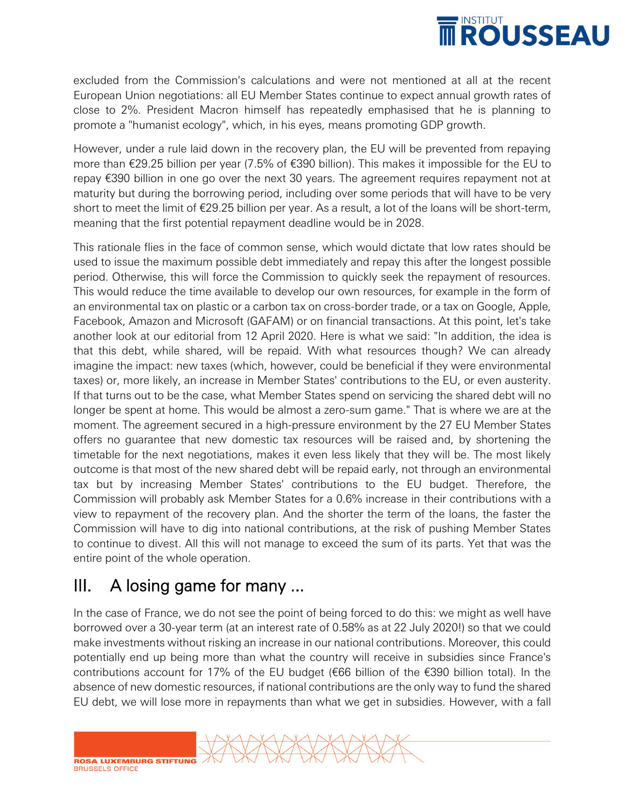

excluded from the Commission's calculations and were not mentioned at all at the recent European Union negotiations: all EU Member States continue to expect annual growth rates of close to 2%. President Macron himself has repeatedly emphasised that he is planning to promote a "humanist ecology", which, in his eyes, means promoting GDP growth.

However, under a rule laid down in the recovery plan, the EU will be prevented from repaying more than €29.25 billion per year (7.5% of €390 billion). This makes it impossible for the EU to repay €390 billion in one go over the next 30 years. The agreement requires repayment not at maturity but during the borrowing period, including over some periods that will have to be very short to meet the limit of €29.25 billion per year. As a result, a lot of the loans will be short-term, meaning that the first potential repayment deadline would be in 2028.

This rationale flies in the face of common sense, which would dictate that low rates should be used to issue the maximum possible debt immediately and repay this after the longest possible period. Otherwise, this will force the Commission to quickly seek the repayment of resources. This would reduce the time available to develop our own resources, for example in the form of an environmental tax on plastic or a carbon tax on cross-border trade, or a tax on Google, Apple, Facebook, Amazon and Microsoft (GAFAM) or on financial transactions. At this point, let's take another look at our editorial from 12 April 2020. Here is what we said: "In addition, the idea is that this debt, while shared, will be repaid. With what resources though? We can already imagine the impact: new taxes (which, however, could be beneficial if they were environmental taxes) or, more likely, an increase in Member States' contributions to the EU, or even austerity. If that turns out to be the case, what Member States spend on servicing the shared debt will no longer be spent at home. This would be almost a zero-sum game." That is where we are at the moment. The agreement secured in a high-pressure environment by the 27 EU Member States offers no guarantee that new domestic tax resources will be raised and, by shortening the timetable for the next negotiations, makes it even less likely that they will be. The most likely outcome is that most of the new shared debt will be repaid early, not through an environmental tax but by increasing Member States' contributions to the EU budget. Therefore, the Commission will probably ask Member States for a 0.6% increase in their contributions with a view to repayment of the recovery plan. And the shorter the term of the loans, the faster the Commission will have to dig into national contributions, at the risk of pushing Member States to continue to divest. All this will not manage to exceed the sum of its parts. Yet that was the entire point of the whole operation.

## III. A losing game for many ...

In the case of France, we do not see the point of being forced to do this: we might as well have borrowed over a 30-year term (at an interest rate of 0.58% as at 22 July 2020!) so that we could make investments without risking an increase in our national contributions. Moreover, this could potentially end up being more than what the country will receive in subsidies since France's contributions account for 17% of the EU budget (€66 billion of the €390 billion total). In the absence of new domestic resources, if national contributions are the only way to fund the shared EU debt, we will lose more in repayments than what we get in subsidies. However, with a fall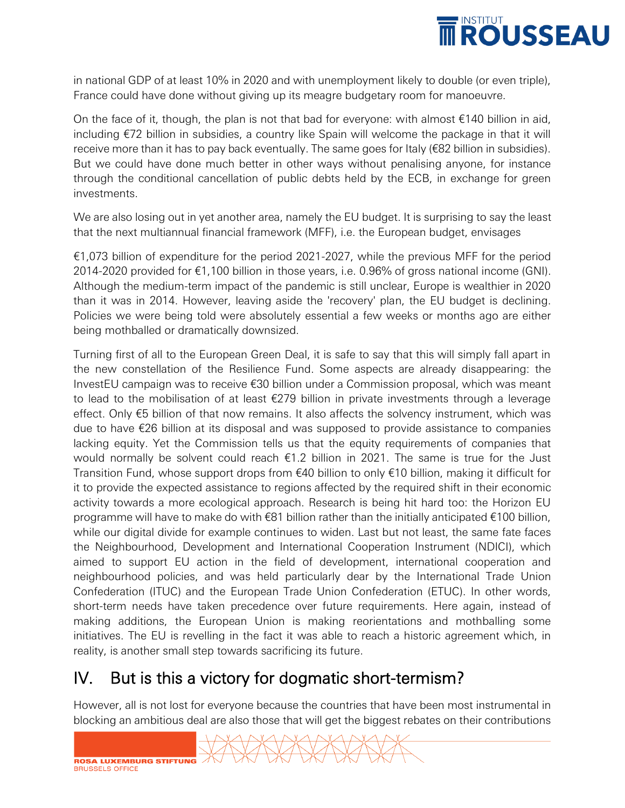

in national GDP of at least 10% in 2020 and with unemployment likely to double (or even triple), France could have done without giving up its meagre budgetary room for manoeuvre.

On the face of it, though, the plan is not that bad for everyone: with almost  $\epsilon$ 140 billion in aid, including €72 billion in subsidies, a country like Spain will welcome the package in that it will receive more than it has to pay back eventually. The same goes for Italy ( $\epsilon$ 82 billion in subsidies). But we could have done much better in other ways without penalising anyone, for instance through the conditional cancellation of public debts held by the ECB, in exchange for green investments.

We are also losing out in yet another area, namely the EU budget. It is surprising to say the least that the next multiannual financial framework (MFF), i.e. the European budget, envisages

€1,073 billion of expenditure for the period 2021-2027, while the previous MFF for the period 2014-2020 provided for €1,100 billion in those years, i.e. 0.96% of gross national income (GNI). Although the medium-term impact of the pandemic is still unclear, Europe is wealthier in 2020 than it was in 2014. However, leaving aside the 'recovery' plan, the EU budget is declining. Policies we were being told were absolutely essential a few weeks or months ago are either being mothballed or dramatically downsized.

Turning first of all to the European Green Deal, it is safe to say that this will simply fall apart in the new constellation of the Resilience Fund. Some aspects are already disappearing: the InvestEU campaign was to receive €30 billion under a Commission proposal, which was meant to lead to the mobilisation of at least €279 billion in private investments through a leverage effect. Only €5 billion of that now remains. It also affects the solvency instrument, which was due to have €26 billion at its disposal and was supposed to provide assistance to companies lacking equity. Yet the Commission tells us that the equity requirements of companies that would normally be solvent could reach  $E1.2$  billion in 2021. The same is true for the Just Transition Fund, whose support drops from  $\epsilon$ 40 billion to only  $\epsilon$ 10 billion, making it difficult for it to provide the expected assistance to regions affected by the required shift in their economic activity towards a more ecological approach. Research is being hit hard too: the Horizon EU programme will have to make do with €81 billion rather than the initially anticipated €100 billion, while our digital divide for example continues to widen. Last but not least, the same fate faces the Neighbourhood, Development and International Cooperation Instrument (NDICI), which aimed to support EU action in the field of development, international cooperation and neighbourhood policies, and was held particularly dear by the International Trade Union Confederation (ITUC) and the European Trade Union Confederation (ETUC). In other words, short-term needs have taken precedence over future requirements. Here again, instead of making additions, the European Union is making reorientations and mothballing some initiatives. The EU is revelling in the fact it was able to reach a historic agreement which, in reality, is another small step towards sacrificing its future.

### IV. But is this a victory for dogmatic short-termism?

However, all is not lost for everyone because the countries that have been most instrumental in blocking an ambitious deal are also those that will get the biggest rebates on their contributions

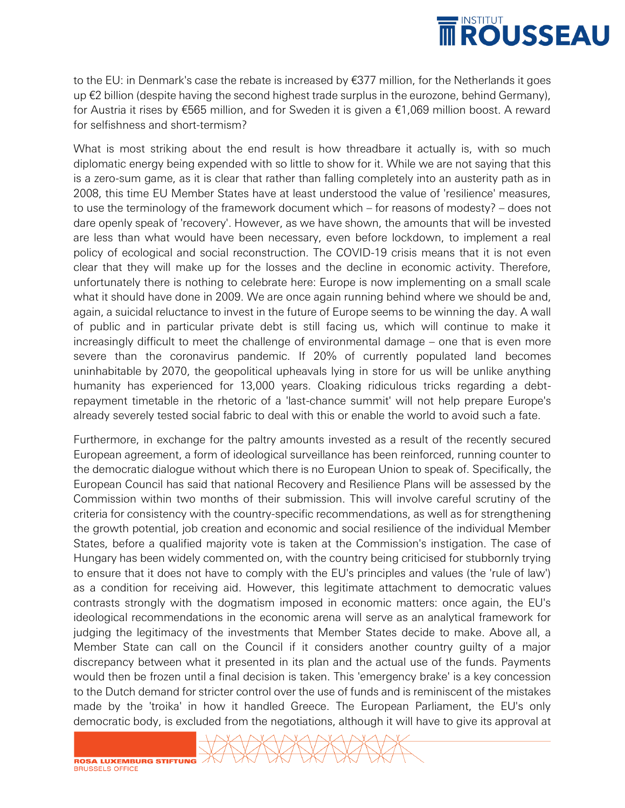

to the EU: in Denmark's case the rebate is increased by €377 million, for the Netherlands it goes up €2 billion (despite having the second highest trade surplus in the eurozone, behind Germany), for Austria it rises by €565 million, and for Sweden it is given a €1,069 million boost. A reward for selfishness and short-termism?

What is most striking about the end result is how threadbare it actually is, with so much diplomatic energy being expended with so little to show for it. While we are not saying that this is a zero-sum game, as it is clear that rather than falling completely into an austerity path as in 2008, this time EU Member States have at least understood the value of 'resilience' measures, to use the terminology of the framework document which – for reasons of modesty? – does not dare openly speak of 'recovery'. However, as we have shown, the amounts that will be invested are less than what would have been necessary, even before lockdown, to implement a real policy of ecological and social reconstruction. The COVID-19 crisis means that it is not even clear that they will make up for the losses and the decline in economic activity. Therefore, unfortunately there is nothing to celebrate here: Europe is now implementing on a small scale what it should have done in 2009. We are once again running behind where we should be and, again, a suicidal reluctance to invest in the future of Europe seems to be winning the day. A wall of public and in particular private debt is still facing us, which will continue to make it increasingly difficult to meet the challenge of environmental damage – one that is even more severe than the coronavirus pandemic. If 20% of currently populated land becomes uninhabitable by 2070, the geopolitical upheavals lying in store for us will be unlike anything humanity has experienced for 13,000 years. Cloaking ridiculous tricks regarding a debtrepayment timetable in the rhetoric of a 'last-chance summit' will not help prepare Europe's already severely tested social fabric to deal with this or enable the world to avoid such a fate.

Furthermore, in exchange for the paltry amounts invested as a result of the recently secured European agreement, a form of ideological surveillance has been reinforced, running counter to the democratic dialogue without which there is no European Union to speak of. Specifically, the European Council has said that national Recovery and Resilience Plans will be assessed by the Commission within two months of their submission. This will involve careful scrutiny of the criteria for consistency with the country-specific recommendations, as well as for strengthening the growth potential, job creation and economic and social resilience of the individual Member States, before a qualified majority vote is taken at the Commission's instigation. The case of Hungary has been widely commented on, with the country being criticised for stubbornly trying to ensure that it does not have to comply with the EU's principles and values (the 'rule of law') as a condition for receiving aid. However, this legitimate attachment to democratic values contrasts strongly with the dogmatism imposed in economic matters: once again, the EU's ideological recommendations in the economic arena will serve as an analytical framework for judging the legitimacy of the investments that Member States decide to make. Above all, a Member State can call on the Council if it considers another country guilty of a major discrepancy between what it presented in its plan and the actual use of the funds. Payments would then be frozen until a final decision is taken. This 'emergency brake' is a key concession to the Dutch demand for stricter control over the use of funds and is reminiscent of the mistakes made by the 'troika' in how it handled Greece. The European Parliament, the EU's only democratic body, is excluded from the negotiations, although it will have to give its approval at